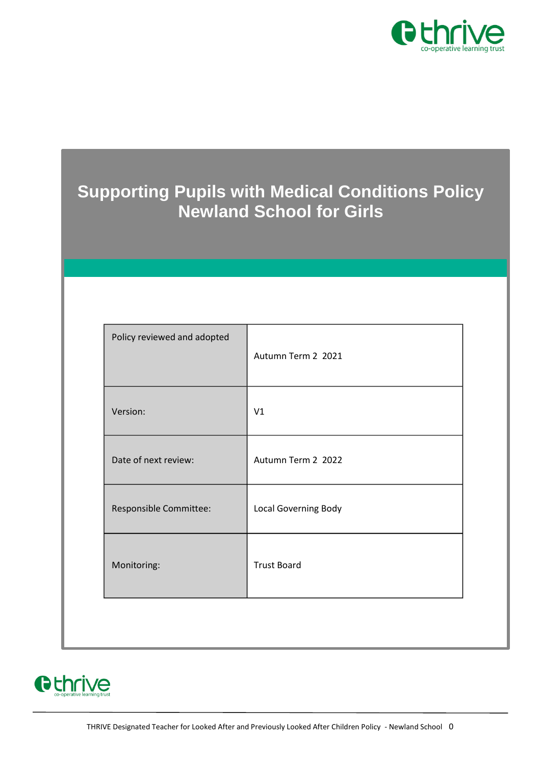

# **Supporting Pupils with Medical Conditions Policy Newland School for Girls**

| Policy reviewed and adopted | Autumn Term 2 2021   |
|-----------------------------|----------------------|
| Version:                    | V1                   |
| Date of next review:        | Autumn Term 2 2022   |
| Responsible Committee:      | Local Governing Body |
| Monitoring:                 | <b>Trust Board</b>   |
|                             |                      |

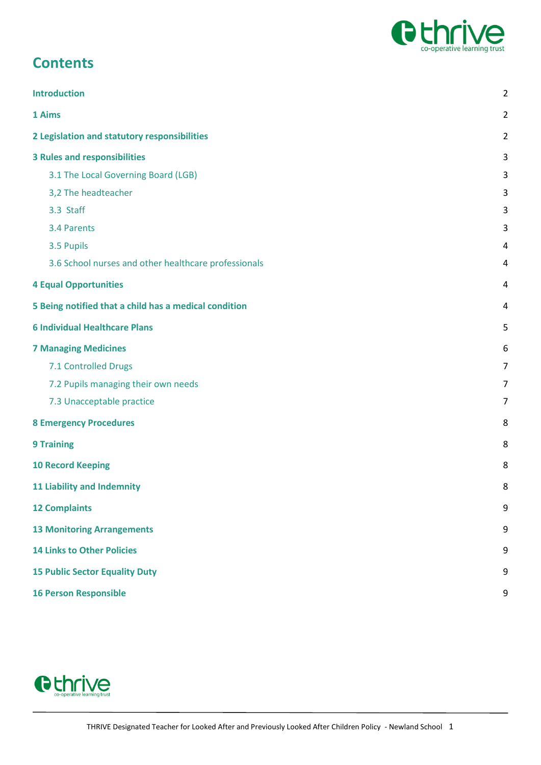

## **Contents**

| <b>Introduction</b>                                   | $\overline{2}$ |
|-------------------------------------------------------|----------------|
| 1 Aims                                                | $\overline{c}$ |
| 2 Legislation and statutory responsibilities          | 2              |
| <b>3 Rules and responsibilities</b>                   | 3              |
| 3.1 The Local Governing Board (LGB)                   | 3              |
| 3,2 The headteacher                                   | 3              |
| 3.3 Staff                                             | 3              |
| 3.4 Parents                                           | 3              |
| 3.5 Pupils                                            | 4              |
| 3.6 School nurses and other healthcare professionals  | 4              |
| <b>4 Equal Opportunities</b>                          | 4              |
| 5 Being notified that a child has a medical condition | 4              |
| <b>6 Individual Healthcare Plans</b>                  | 5              |
| <b>7 Managing Medicines</b>                           | 6              |
| 7.1 Controlled Drugs                                  | 7              |
| 7.2 Pupils managing their own needs                   | 7              |
| 7.3 Unacceptable practice                             | $\overline{7}$ |
| <b>8 Emergency Procedures</b>                         | 8              |
| <b>9 Training</b>                                     | 8              |
| <b>10 Record Keeping</b>                              | 8              |
| <b>11 Liability and Indemnity</b>                     | 8              |
| <b>12 Complaints</b>                                  | 9              |
| <b>13 Monitoring Arrangements</b>                     | 9              |
| <b>14 Links to Other Policies</b>                     | 9              |
| <b>15 Public Sector Equality Duty</b>                 | 9              |
| <b>16 Person Responsible</b>                          | 9              |

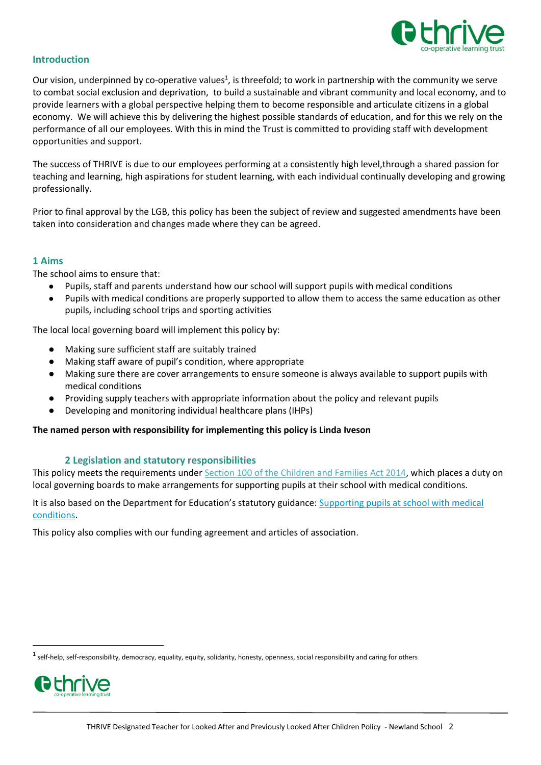

## <span id="page-2-0"></span>**Introduction**

Our vision, underpinned by co-operative values<sup>1</sup>, is threefold; to work in partnership with the community we serve to combat social exclusion and deprivation, to build a sustainable and vibrant community and local economy, and to provide learners with a global perspective helping them to become responsible and articulate citizens in a global economy. We will achieve this by delivering the highest possible standards of education, and for this we rely on the performance of all our employees. With this in mind the Trust is committed to providing staff with development opportunities and support.

The success of THRIVE is due to our employees performing at a consistently high level,through a shared passion for teaching and learning, high aspirations for student learning, with each individual continually developing and growing professionally.

Prior to final approval by the LGB, this policy has been the subject of review and suggested amendments have been taken into consideration and changes made where they can be agreed.

## <span id="page-2-1"></span>**1 Aims**

The school aims to ensure that:

- Pupils, staff and parents understand how our school will support pupils with medical conditions
- Pupils with medical conditions are properly supported to allow them to access the same education as other pupils, including school trips and sporting activities

The local local governing board will implement this policy by:

- Making sure sufficient staff are suitably trained
- Making staff aware of pupil's condition, where appropriate
- Making sure there are cover arrangements to ensure someone is always available to support pupils with medical conditions
- Providing supply teachers with appropriate information about the policy and relevant pupils
- Developing and monitoring individual healthcare plans (IHPs)

#### **The named person with responsibility for implementing this policy is Linda Iveson**

#### **2 Legislation and statutory responsibilities**

<span id="page-2-2"></span>This policy meets the requirements under [Section 100 of the Children and Families Act 2014,](http://www.legislation.gov.uk/ukpga/2014/6/part/5/crossheading/pupils-with-medical-conditions) which places a duty on local governing boards to make arrangements for supporting pupils at their school with medical conditions.

It is also based on the Department for Education's statutory guidance: [Supporting pupils at school with medical](https://www.gov.uk/government/uploads/system/uploads/attachment_data/file/484418/supporting-pupils-at-school-with-medical-conditions.pdf)  [conditions.](https://www.gov.uk/government/uploads/system/uploads/attachment_data/file/484418/supporting-pupils-at-school-with-medical-conditions.pdf)

This policy also complies with our funding agreement and articles of association.

 $^1$  self-help, self-responsibility, democracy, equality, equity, solidarity, honesty, openness, social responsibility and caring for others



1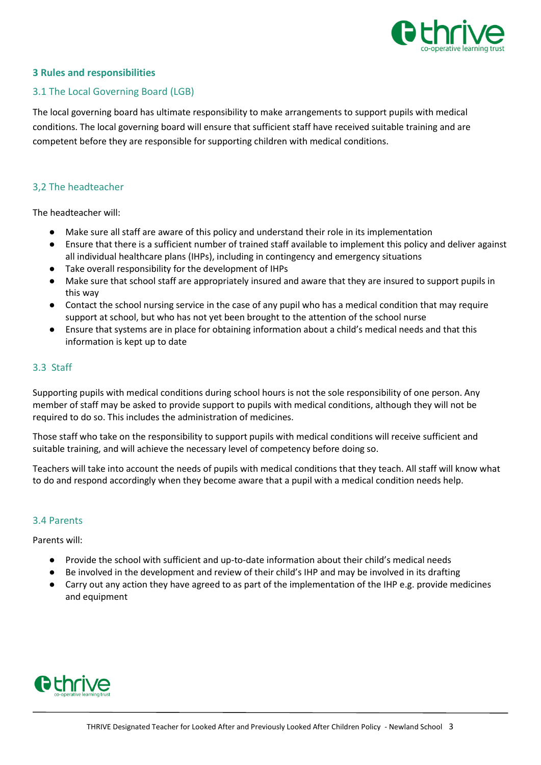

## <span id="page-3-0"></span>**3 Rules and responsibilities**

#### <span id="page-3-1"></span>3.1 The Local Governing Board (LGB)

The local governing board has ultimate responsibility to make arrangements to support pupils with medical conditions. The local governing board will ensure that sufficient staff have received suitable training and are competent before they are responsible for supporting children with medical conditions.

## <span id="page-3-2"></span>3,2 The headteacher

The headteacher will:

- Make sure all staff are aware of this policy and understand their role in its implementation
- Ensure that there is a sufficient number of trained staff available to implement this policy and deliver against all individual healthcare plans (IHPs), including in contingency and emergency situations
- Take overall responsibility for the development of IHPs
- Make sure that school staff are appropriately insured and aware that they are insured to support pupils in this way
- Contact the school nursing service in the case of any pupil who has a medical condition that may require support at school, but who has not yet been brought to the attention of the school nurse
- Ensure that systems are in place for obtaining information about a child's medical needs and that this information is kept up to date

## <span id="page-3-3"></span>3.3 Staff

Supporting pupils with medical conditions during school hours is not the sole responsibility of one person. Any member of staff may be asked to provide support to pupils with medical conditions, although they will not be required to do so. This includes the administration of medicines.

Those staff who take on the responsibility to support pupils with medical conditions will receive sufficient and suitable training, and will achieve the necessary level of competency before doing so.

Teachers will take into account the needs of pupils with medical conditions that they teach. All staff will know what to do and respond accordingly when they become aware that a pupil with a medical condition needs help.

#### <span id="page-3-4"></span>3.4 Parents

Parents will:

- Provide the school with sufficient and up-to-date information about their child's medical needs
- Be involved in the development and review of their child's IHP and may be involved in its drafting
- Carry out any action they have agreed to as part of the implementation of the IHP e.g. provide medicines and equipment

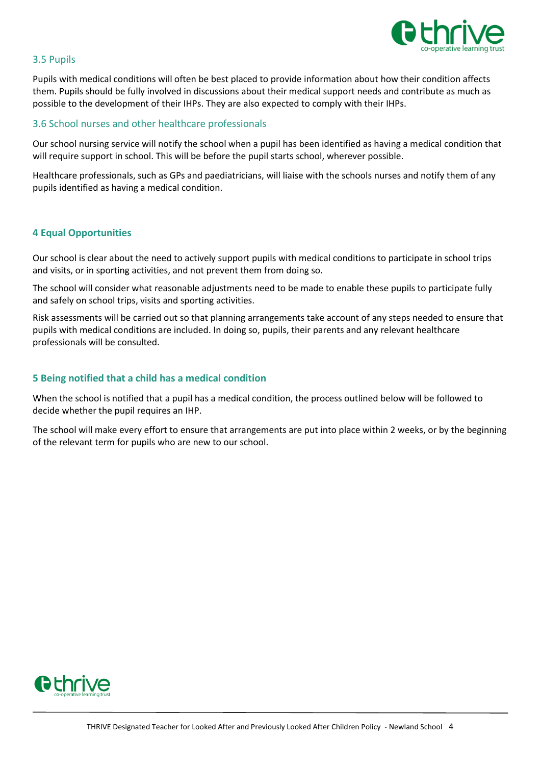

## <span id="page-4-0"></span>3.5 Pupils

Pupils with medical conditions will often be best placed to provide information about how their condition affects them. Pupils should be fully involved in discussions about their medical support needs and contribute as much as possible to the development of their IHPs. They are also expected to comply with their IHPs.

## <span id="page-4-1"></span>3.6 School nurses and other healthcare professionals

Our school nursing service will notify the school when a pupil has been identified as having a medical condition that will require support in school. This will be before the pupil starts school, wherever possible.

Healthcare professionals, such as GPs and paediatricians, will liaise with the schools nurses and notify them of any pupils identified as having a medical condition.

## <span id="page-4-2"></span>**4 Equal Opportunities**

Our school is clear about the need to actively support pupils with medical conditions to participate in school trips and visits, or in sporting activities, and not prevent them from doing so.

The school will consider what reasonable adjustments need to be made to enable these pupils to participate fully and safely on school trips, visits and sporting activities.

Risk assessments will be carried out so that planning arrangements take account of any steps needed to ensure that pupils with medical conditions are included. In doing so, pupils, their parents and any relevant healthcare professionals will be consulted.

## <span id="page-4-3"></span>**5 Being notified that a child has a medical condition**

When the school is notified that a pupil has a medical condition, the process outlined below will be followed to decide whether the pupil requires an IHP.

The school will make every effort to ensure that arrangements are put into place within 2 weeks, or by the beginning of the relevant term for pupils who are new to our school.

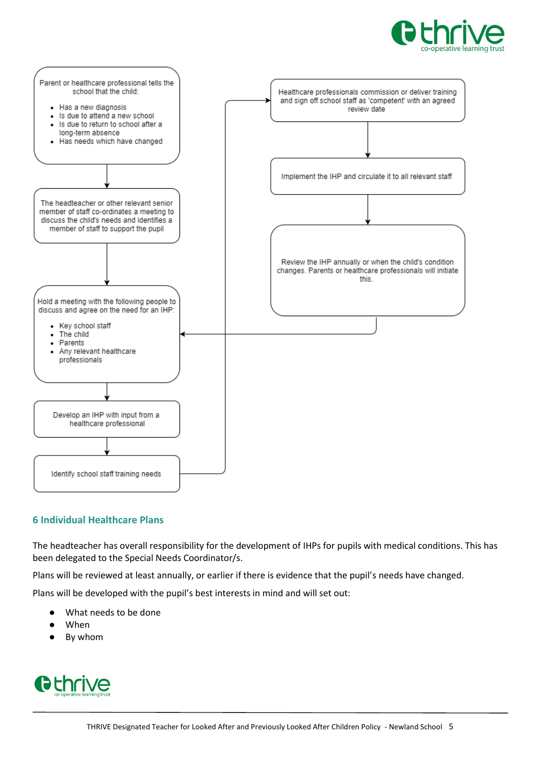



## <span id="page-5-0"></span>**6 Individual Healthcare Plans**

The headteacher has overall responsibility for the development of IHPs for pupils with medical conditions. This has been delegated to the Special Needs Coordinator/s.

Plans will be reviewed at least annually, or earlier if there is evidence that the pupil's needs have changed.

Plans will be developed with the pupil's best interests in mind and will set out:

- What needs to be done
- When
- By whom

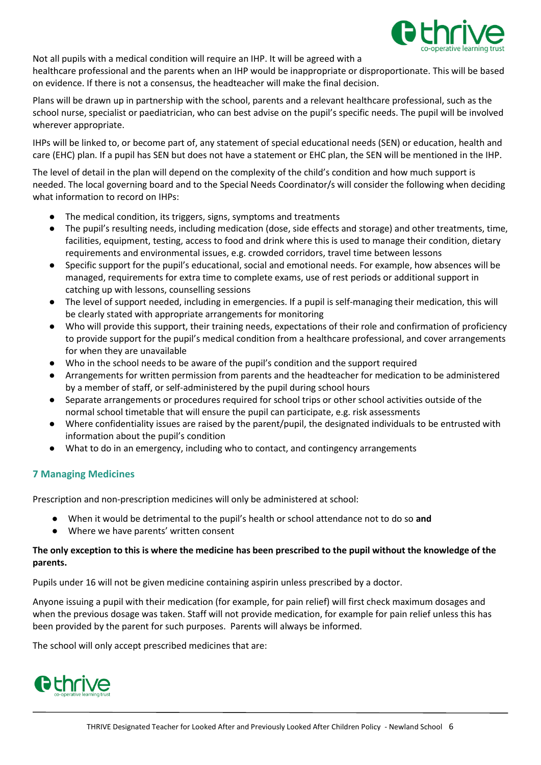

Not all pupils with a medical condition will require an IHP. It will be agreed with a healthcare professional and the parents when an IHP would be inappropriate or disproportionate. This will be based on evidence. If there is not a consensus, the headteacher will make the final decision.

Plans will be drawn up in partnership with the school, parents and a relevant healthcare professional, such as the school nurse, specialist or paediatrician, who can best advise on the pupil's specific needs. The pupil will be involved wherever appropriate.

IHPs will be linked to, or become part of, any statement of special educational needs (SEN) or education, health and care (EHC) plan. If a pupil has SEN but does not have a statement or EHC plan, the SEN will be mentioned in the IHP.

The level of detail in the plan will depend on the complexity of the child's condition and how much support is needed. The local governing board and to the Special Needs Coordinator/s will consider the following when deciding what information to record on IHPs:

- The medical condition, its triggers, signs, symptoms and treatments
- The pupil's resulting needs, including medication (dose, side effects and storage) and other treatments, time, facilities, equipment, testing, access to food and drink where this is used to manage their condition, dietary requirements and environmental issues, e.g. crowded corridors, travel time between lessons
- Specific support for the pupil's educational, social and emotional needs. For example, how absences will be managed, requirements for extra time to complete exams, use of rest periods or additional support in catching up with lessons, counselling sessions
- The level of support needed, including in emergencies. If a pupil is self-managing their medication, this will be clearly stated with appropriate arrangements for monitoring
- Who will provide this support, their training needs, expectations of their role and confirmation of proficiency to provide support for the pupil's medical condition from a healthcare professional, and cover arrangements for when they are unavailable
- Who in the school needs to be aware of the pupil's condition and the support required
- Arrangements for written permission from parents and the headteacher for medication to be administered by a member of staff, or self-administered by the pupil during school hours
- Separate arrangements or procedures required for school trips or other school activities outside of the normal school timetable that will ensure the pupil can participate, e.g. risk assessments
- Where confidentiality issues are raised by the parent/pupil, the designated individuals to be entrusted with information about the pupil's condition
- What to do in an emergency, including who to contact, and contingency arrangements

## <span id="page-6-0"></span>**7 Managing Medicines**

Prescription and non-prescription medicines will only be administered at school:

- When it would be detrimental to the pupil's health or school attendance not to do so **and**
- Where we have parents' written consent

## **The only exception to this is where the medicine has been prescribed to the pupil without the knowledge of the parents.**

Pupils under 16 will not be given medicine containing aspirin unless prescribed by a doctor.

Anyone issuing a pupil with their medication (for example, for pain relief) will first check maximum dosages and when the previous dosage was taken. Staff will not provide medication, for example for pain relief unless this has been provided by the parent for such purposes. Parents will always be informed.

The school will only accept prescribed medicines that are:

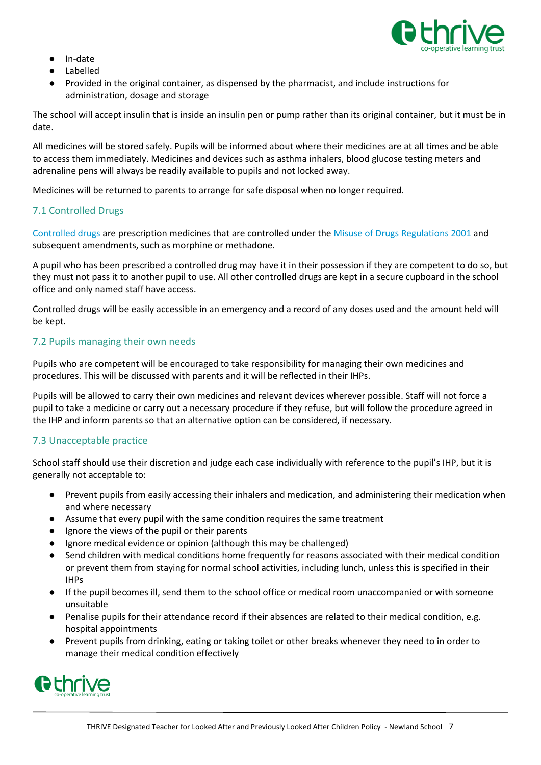

- In-date
- Labelled
- Provided in the original container, as dispensed by the pharmacist, and include instructions for administration, dosage and storage

The school will accept insulin that is inside an insulin pen or pump rather than its original container, but it must be in date.

All medicines will be stored safely. Pupils will be informed about where their medicines are at all times and be able to access them immediately. Medicines and devices such as asthma inhalers, blood glucose testing meters and adrenaline pens will always be readily available to pupils and not locked away.

Medicines will be returned to parents to arrange for safe disposal when no longer required.

## <span id="page-7-0"></span>7.1 Controlled Drugs

[Controlled drugs](http://www.nhs.uk/chq/Pages/1391.aspx?CategoryID=73) are prescription medicines that are controlled under the [Misuse of Drugs Regulations 2001](http://www.legislation.gov.uk/uksi/2001/3998/schedule/1/made) and subsequent amendments, such as morphine or methadone.

A pupil who has been prescribed a controlled drug may have it in their possession if they are competent to do so, but they must not pass it to another pupil to use. All other controlled drugs are kept in a secure cupboard in the school office and only named staff have access.

Controlled drugs will be easily accessible in an emergency and a record of any doses used and the amount held will be kept.

## <span id="page-7-1"></span>7.2 Pupils managing their own needs

Pupils who are competent will be encouraged to take responsibility for managing their own medicines and procedures. This will be discussed with parents and it will be reflected in their IHPs.

Pupils will be allowed to carry their own medicines and relevant devices wherever possible. Staff will not force a pupil to take a medicine or carry out a necessary procedure if they refuse, but will follow the procedure agreed in the IHP and inform parents so that an alternative option can be considered, if necessary.

## <span id="page-7-2"></span>7.3 Unacceptable practice

School staff should use their discretion and judge each case individually with reference to the pupil's IHP, but it is generally not acceptable to:

- Prevent pupils from easily accessing their inhalers and medication, and administering their medication when and where necessary
- Assume that every pupil with the same condition requires the same treatment
- Ignore the views of the pupil or their parents
- Ignore medical evidence or opinion (although this may be challenged)
- Send children with medical conditions home frequently for reasons associated with their medical condition or prevent them from staying for normal school activities, including lunch, unless this is specified in their IHPs
- If the pupil becomes ill, send them to the school office or medical room unaccompanied or with someone unsuitable
- Penalise pupils for their attendance record if their absences are related to their medical condition, e.g. hospital appointments
- Prevent pupils from drinking, eating or taking toilet or other breaks whenever they need to in order to manage their medical condition effectively

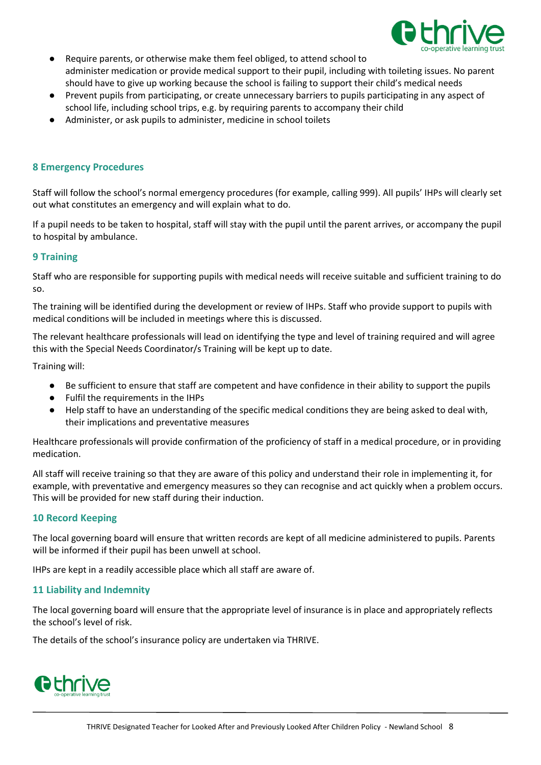

- Require parents, or otherwise make them feel obliged, to attend school to administer medication or provide medical support to their pupil, including with toileting issues. No parent should have to give up working because the school is failing to support their child's medical needs
- Prevent pupils from participating, or create unnecessary barriers to pupils participating in any aspect of school life, including school trips, e.g. by requiring parents to accompany their child
- Administer, or ask pupils to administer, medicine in school toilets

## <span id="page-8-0"></span>**8 Emergency Procedures**

Staff will follow the school's normal emergency procedures (for example, calling 999). All pupils' IHPs will clearly set out what constitutes an emergency and will explain what to do.

If a pupil needs to be taken to hospital, staff will stay with the pupil until the parent arrives, or accompany the pupil to hospital by ambulance.

#### <span id="page-8-1"></span>**9 Training**

Staff who are responsible for supporting pupils with medical needs will receive suitable and sufficient training to do so.

The training will be identified during the development or review of IHPs. Staff who provide support to pupils with medical conditions will be included in meetings where this is discussed.

The relevant healthcare professionals will lead on identifying the type and level of training required and will agree this with the Special Needs Coordinator/s Training will be kept up to date.

Training will:

- Be sufficient to ensure that staff are competent and have confidence in their ability to support the pupils
- Fulfil the requirements in the IHPs
- Help staff to have an understanding of the specific medical conditions they are being asked to deal with, their implications and preventative measures

Healthcare professionals will provide confirmation of the proficiency of staff in a medical procedure, or in providing medication.

All staff will receive training so that they are aware of this policy and understand their role in implementing it, for example, with preventative and emergency measures so they can recognise and act quickly when a problem occurs. This will be provided for new staff during their induction.

#### <span id="page-8-2"></span>**10 Record Keeping**

The local governing board will ensure that written records are kept of all medicine administered to pupils. Parents will be informed if their pupil has been unwell at school.

IHPs are kept in a readily accessible place which all staff are aware of.

#### <span id="page-8-3"></span>**11 Liability and Indemnity**

The local governing board will ensure that the appropriate level of insurance is in place and appropriately reflects the school's level of risk.

The details of the school's insurance policy are undertaken via THRIVE.